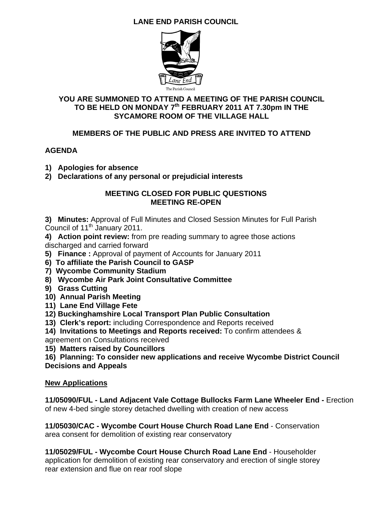# **LANE END PARISH COUNCIL**



### **YOU ARE SUMMONED TO ATTEND A MEETING OF THE PARISH COUNCIL TO BE HELD ON MONDAY 7th FEBRUARY 2011 AT 7.30pm IN THE SYCAMORE ROOM OF THE VILLAGE HALL**

### **MEMBERS OF THE PUBLIC AND PRESS ARE INVITED TO ATTEND**

### **AGENDA**

- **1) Apologies for absence**
- **2) Declarations of any personal or prejudicial interests**

#### **MEETING CLOSED FOR PUBLIC QUESTIONS MEETING RE-OPEN**

**3) Minutes:** Approval of Full Minutes and Closed Session Minutes for Full Parish Council of  $11^{th}$  January 2011.

**4) Action point review:** from pre reading summary to agree those actions discharged and carried forward

- **5) Finance :** Approval of payment of Accounts for January 2011
- **6) To affiliate the Parish Council to GASP**
- **7) Wycombe Community Stadium**
- **8) Wycombe Air Park Joint Consultative Committee**
- **9) Grass Cutting**
- **10) Annual Parish Meeting**
- **11) Lane End Village Fete**
- **12) Buckinghamshire Local Transport Plan Public Consultation**
- **13) Clerk's report:** including Correspondence and Reports received
- **14) Invitations to Meetings and Reports received:** To confirm attendees &
- agreement on Consultations received

**15) Matters raised by Councillors** 

**16) Planning: To consider new applications and receive Wycombe District Council Decisions and Appeals** 

### **New Applications**

**11/05090/FUL - Land Adjacent Vale Cottage Bullocks Farm Lane Wheeler End -** Erection of new 4-bed single storey detached dwelling with creation of new access

**11/05030/CAC - Wycombe Court House Church Road Lane End** - Conservation area consent for demolition of existing rear conservatory

**11/05029/FUL - Wycombe Court House Church Road Lane End** - Householder application for demolition of existing rear conservatory and erection of single storey rear extension and flue on rear roof slope